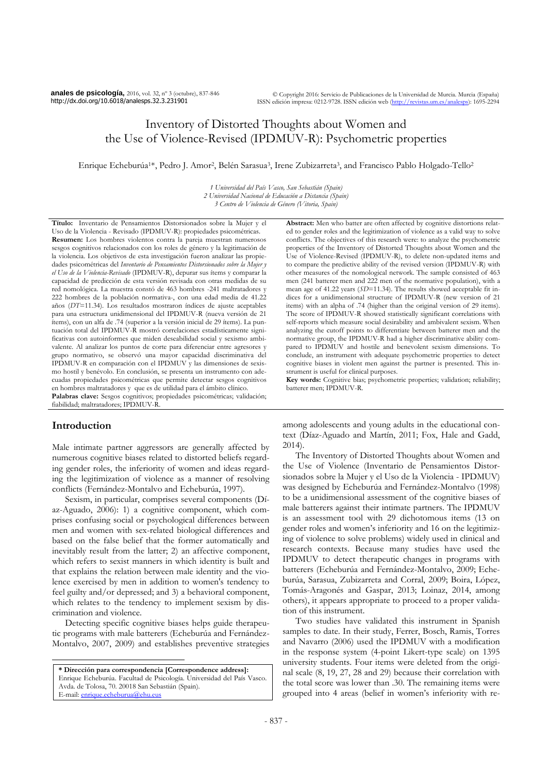**anales de psicología,** 2016, vol. 32, nº 3 (octubre), 837-846 http://dx.doi.org/10.6018/analesps.32.3.231901

# Inventory of Distorted Thoughts about Women and the Use of Violence-Revised (IPDMUV-R): Psychometric properties

Enrique Echeburúa<sup>1\*</sup>, Pedro J. Amor<sup>2</sup>, Belén Sarasua<sup>3</sup>, Irene Zubizarreta<sup>3</sup>, and Francisco Pablo Holgado-Tello<sup>2</sup>

*1 Universidad del País Vasco, San Sebastián (Spain) 2 Universidad Nacional de Educación a Distancia (Spain) 3 Centro de Violencia de Género (Vitoria, Spain)*

**Título:** Inventario de Pensamientos Distorsionados sobre la Mujer y el Uso de la Violencia - Revisado (IPDMUV-R): propiedades psicométricas. **Resumen:** Los hombres violentos contra la pareja muestran numerosos sesgos cognitivos relacionados con los roles de género y la legitimación de la violencia. Los objetivos de esta investigación fueron analizar las propiedades psicométricas del *Inventario de Pensamientos Distorsionados sobre la Mujer y el Uso de la Violencia-Revisado* (IPDMUV-R), depurar sus ítems y comparar la capacidad de predicción de esta versión revisada con otras medidas de su red nomológica. La muestra constó de 463 hombres -241 maltratadores y 222 hombres de la población normativa-, con una edad media de 41.22 años (*DT*=11.34). Los resultados mostraron índices de ajuste aceptables para una estructura unidimensional del IPDMUV-R (nueva versión de 21 ítems), con un alfa de .74 (superior a la versión inicial de 29 ítems). La puntuación total del IPDMUV-R mostró correlaciones estadísticamente significativas con autoinformes que miden deseabilidad social y sexismo ambivalente. Al analizar los puntos de corte para diferenciar entre agresores y grupo normativo, se observó una mayor capacidad discriminativa del IPDMUV-R en comparación con el IPDMUV y las dimensiones de sexismo hostil y benévolo. En conclusión, se presenta un instrumento con adecuadas propiedades psicométricas que permite detectar sesgos cognitivos en hombres maltratadores y que es de utilidad para el ámbito clínico. **Palabras clave:** Sesgos cognitivos; propiedades psicométricas; validación; fiabilidad; maltratadores; IPDMUV-R.

# **Introduction**

 $\overline{a}$ 

Male intimate partner aggressors are generally affected by numerous cognitive biases related to distorted beliefs regarding gender roles, the inferiority of women and ideas regarding the legitimization of violence as a manner of resolving conflicts (Fernández-Montalvo and Echeburúa, 1997).

Sexism, in particular, comprises several components (Díaz-Aguado, 2006): 1) a cognitive component, which comprises confusing social or psychological differences between men and women with sex-related biological differences and based on the false belief that the former automatically and inevitably result from the latter; 2) an affective component, which refers to sexist manners in which identity is built and that explains the relation between male identity and the violence exercised by men in addition to women's tendency to feel guilty and/or depressed; and 3) a behavioral component, which relates to the tendency to implement sexism by discrimination and violence.

Detecting specific cognitive biases helps guide therapeutic programs with male batterers (Echeburúa and Fernández-Montalvo, 2007, 2009) and establishes preventive strategies

**Abstract:** Men who batter are often affected by cognitive distortions related to gender roles and the legitimization of violence as a valid way to solve conflicts. The objectives of this research were: to analyze the psychometric properties of the Inventory of Distorted Thoughts about Women and the Use of Violence-Revised (IPDMUV-R), to delete non-updated items and to compare the predictive ability of the revised version (IPDMUV-R) with other measures of the nomological network. The sample consisted of 463 men (241 batterer men and 222 men of the normative population), with a mean age of 41.22 years (*SD*=11.34). The results showed acceptable fit indices for a unidimensional structure of IPDMUV-R (new version of 21 items) with an alpha of .74 (higher than the original version of 29 items). The score of IPDMUV-R showed statistically significant correlations with self-reports which measure social desirability and ambivalent sexism. When analyzing the cutoff points to differentiate between batterer men and the normative group, the IPDMUV-R had a higher discriminative ability compared to IPDMUV and hostile and benevolent sexism dimensions. To conclude, an instrument with adequate psychometric properties to detect cognitive biases in violent men against the partner is presented. This instrument is useful for clinical purposes.

**Key words:** Cognitive bias; psychometric properties; validation; reliability; batterer men; IPDMUV-R.

among adolescents and young adults in the educational context (Díaz-Aguado and Martín, 2011; Fox, Hale and Gadd, 2014).

The Inventory of Distorted Thoughts about Women and the Use of Violence (Inventario de Pensamientos Distorsionados sobre la Mujer y el Uso de la Violencia - IPDMUV) was designed by Echeburúa and Fernández-Montalvo (1998) to be a unidimensional assessment of the cognitive biases of male batterers against their intimate partners. The IPDMUV is an assessment tool with 29 dichotomous items (13 on gender roles and women's inferiority and 16 on the legitimizing of violence to solve problems) widely used in clinical and research contexts. Because many studies have used the IPDMUV to detect therapeutic changes in programs with batterers (Echeburúa and Fernández-Montalvo, 2009; Echeburúa, Sarasua, Zubizarreta and Corral, 2009; Boira, López, Tomás-Aragonés and Gaspar, 2013; Loinaz, 2014, among others), it appears appropriate to proceed to a proper validation of this instrument.

Two studies have validated this instrument in Spanish samples to date. In their study, Ferrer, Bosch, Ramis, Torres and Navarro (2006) used the IPDMUV with a modification in the response system (4-point Likert-type scale) on 1395 university students. Four items were deleted from the original scale (8, 19, 27, 28 and 29) because their correlation with the total score was lower than .30. The remaining items were grouped into 4 areas (belief in women's inferiority with re-

**<sup>\*</sup> Dirección para correspondencia [Correspondence address]:** Enrique Echeburúa. Facultad de Psicología. Universidad del País Vasco. Avda. de Tolosa, 70. 20018 San Sebastián (Spain). E-mail[: enrique.echeburua@ehu.eus](mailto:enrique.echeburua@ehu.es)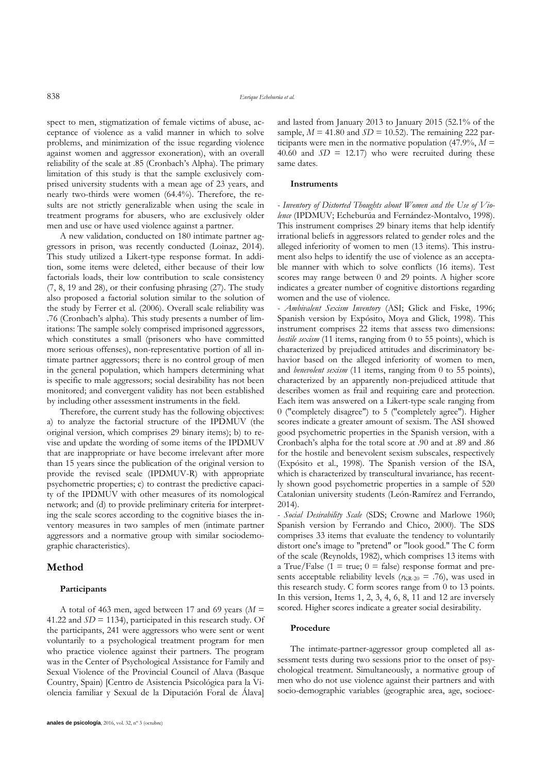spect to men, stigmatization of female victims of abuse, acceptance of violence as a valid manner in which to solve problems, and minimization of the issue regarding violence against women and aggressor exoneration), with an overall reliability of the scale at .85 (Cronbach's Alpha). The primary limitation of this study is that the sample exclusively comprised university students with a mean age of 23 years, and nearly two-thirds were women (64.4%). Therefore, the results are not strictly generalizable when using the scale in treatment programs for abusers, who are exclusively older men and use or have used violence against a partner.

A new validation, conducted on 180 intimate partner aggressors in prison, was recently conducted (Loinaz, 2014). This study utilized a Likert-type response format. In addition, some items were deleted, either because of their low factorials loads, their low contribution to scale consistency (7, 8, 19 and 28), or their confusing phrasing (27). The study also proposed a factorial solution similar to the solution of the study by Ferrer et al. (2006). Overall scale reliability was .76 (Cronbach's alpha). This study presents a number of limitations: The sample solely comprised imprisoned aggressors, which constitutes a small (prisoners who have committed more serious offenses), non-representative portion of all intimate partner aggressors; there is no control group of men in the general population, which hampers determining what is specific to male aggressors; social desirability has not been monitored; and convergent validity has not been established by including other assessment instruments in the field.

Therefore, the current study has the following objectives: a) to analyze the factorial structure of the IPDMUV (the original version, which comprises 29 binary items); b) to revise and update the wording of some items of the IPDMUV that are inappropriate or have become irrelevant after more than 15 years since the publication of the original version to provide the revised scale (IPDMUV-R) with appropriate psychometric properties; c) to contrast the predictive capacity of the IPDMUV with other measures of its nomological network; and (d) to provide preliminary criteria for interpreting the scale scores according to the cognitive biases the inventory measures in two samples of men (intimate partner aggressors and a normative group with similar sociodemographic characteristics).

## **Method**

#### **Participants**

A total of 463 men, aged between 17 and 69 years ( $M =$ 41.22 and  $SD = 1134$ ), participated in this research study. Of the participants, 241 were aggressors who were sent or went voluntarily to a psychological treatment program for men who practice violence against their partners. The program was in the Center of Psychological Assistance for Family and Sexual Violence of the Provincial Council of Alava (Basque Country, Spain) [Centro de Asistencia Psicológica para la Violencia familiar y Sexual de la Diputación Foral de Álava] and lasted from January 2013 to January 2015 (52.1% of the sample,  $M = 41.80$  and  $SD = 10.52$ ). The remaining 222 participants were men in the normative population  $(47.9\%, M =$ 40.60 and  $SD = 12.17$ ) who were recruited during these same dates.

#### **Instruments**

*- Inventory of Distorted Thoughts about Women and the Use of Violence* (IPDMUV; Echeburúa and Fernández-Montalvo, 1998). This instrument comprises 29 binary items that help identify irrational beliefs in aggressors related to gender roles and the alleged inferiority of women to men (13 items). This instrument also helps to identify the use of violence as an acceptable manner with which to solve conflicts (16 items). Test scores may range between 0 and 29 points. A higher score indicates a greater number of cognitive distortions regarding women and the use of violence*.*

*- Ambivalent Sexism Inventory* (ASI; Glick and Fiske, 1996; Spanish version by Expósito, Moya and Glick, 1998). This instrument comprises 22 items that assess two dimensions: *hostile sexism* (11 items, ranging from 0 to 55 points), which is characterized by prejudiced attitudes and discriminatory behavior based on the alleged inferiority of women to men, and *benevolent sexism* (11 items, ranging from 0 to 55 points), characterized by an apparently non-prejudiced attitude that describes women as frail and requiring care and protection. Each item was answered on a Likert-type scale ranging from 0 ("completely disagree") to 5 ("completely agree"). Higher scores indicate a greater amount of sexism. The ASI showed good psychometric properties in the Spanish version, with a Cronbach's alpha for the total score at .90 and at .89 and .86 for the hostile and benevolent sexism subscales, respectively (Expósito et al., 1998). The Spanish version of the ISA, which is characterized by transcultural invariance, has recently shown good psychometric properties in a sample of 520 Catalonian university students (León-Ramírez and Ferrando, 2014).

*- Social Desirability Scale* (SDS; Crowne and Marlowe 1960; Spanish version by Ferrando and Chico, 2000). The SDS comprises 33 items that evaluate the tendency to voluntarily distort one's image to "pretend" or "look good." The C form of the scale (Reynolds, 1982), which comprises 13 items with a True/False (1 = true;  $0 =$  false) response format and presents acceptable reliability levels ( $r_{KR-20}$  = .76), was used in this research study. C form scores range from 0 to 13 points. In this version, Items 1, 2, 3, 4, 6, 8, 11 and 12 are inversely scored. Higher scores indicate a greater social desirability.

#### **Procedure**

The intimate-partner-aggressor group completed all assessment tests during two sessions prior to the onset of psychological treatment. Simultaneously, a normative group of men who do not use violence against their partners and with socio-demographic variables (geographic area, age, socioec-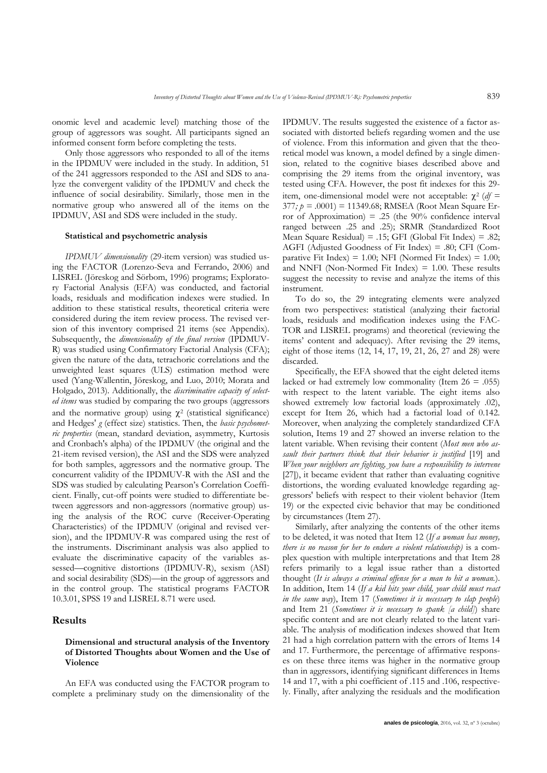onomic level and academic level) matching those of the group of aggressors was sought. All participants signed an informed consent form before completing the tests.

Only those aggressors who responded to all of the items in the IPDMUV were included in the study. In addition, 51 of the 241 aggressors responded to the ASI and SDS to analyze the convergent validity of the IPDMUV and check the influence of social desirability. Similarly, those men in the normative group who answered all of the items on the IPDMUV, ASI and SDS were included in the study.

#### **Statistical and psychometric analysis**

*IPDMUV dimensionality* (29-item version) was studied using the FACTOR (Lorenzo-Seva and Ferrando, 2006) and LISREL (Jöreskog and Sörbom, 1996) programs; Exploratory Factorial Analysis (EFA) was conducted, and factorial loads, residuals and modification indexes were studied. In addition to these statistical results, theoretical criteria were considered during the item review process. The revised version of this inventory comprised 21 items (see Appendix). Subsequently, the *dimensionality of the final version* (IPDMUV-R) was studied using Confirmatory Factorial Analysis (CFA); given the nature of the data, tetrachoric correlations and the unweighted least squares (ULS) estimation method were used (Yang-Wallentin, Jöreskog, and Luo, 2010; Morata and Holgado, 2013). Additionally, the *discriminative capacity of selected items* was studied by comparing the two groups (aggressors and the normative group) using  $\chi^2$  (statistical significance) and Hedges' *g* (effect size) statistics. Then, the *basic psychometric properties* (mean, standard deviation, asymmetry, Kurtosis and Cronbach's alpha) of the IPDMUV (the original and the 21-item revised version), the ASI and the SDS were analyzed for both samples, aggressors and the normative group. The concurrent validity of the IPDMUV-R with the ASI and the SDS was studied by calculating Pearson's Correlation Coefficient. Finally, cut-off points were studied to differentiate between aggressors and non-aggressors (normative group) using the analysis of the ROC curve (Receiver-Operating Characteristics) of the IPDMUV (original and revised version), and the IPDMUV-R was compared using the rest of the instruments. Discriminant analysis was also applied to evaluate the discriminative capacity of the variables assessed—cognitive distortions (IPDMUV-R), sexism (ASI) and social desirability (SDS)—in the group of aggressors and in the control group. The statistical programs FACTOR 10.3.01, SPSS 19 and LISREL 8.71 were used.

#### **Results**

### **Dimensional and structural analysis of the Inventory of Distorted Thoughts about Women and the Use of Violence**

An EFA was conducted using the FACTOR program to complete a preliminary study on the dimensionality of the IPDMUV. The results suggested the existence of a factor associated with distorted beliefs regarding women and the use of violence. From this information and given that the theoretical model was known, a model defined by a single dimension, related to the cognitive biases described above and comprising the 29 items from the original inventory, was tested using CFA. However, the post fit indexes for this 29 item, one-dimensional model were not acceptable:  $\chi^2$  (*df* = 377*; p =* .0001) = 11349.68; RMSEA (Root Mean Square Error of Approximation) = .25 (the  $90\%$  confidence interval ranged between .25 and .25); SRMR (Standardized Root Mean Square Residual) = .15; GFI (Global Fit Index) = .82; AGFI (Adjusted Goodness of Fit Index) = .80; CFI (Comparative Fit Index) =  $1.00$ ; NFI (Normed Fit Index) =  $1.00$ ; and NNFI (Non-Normed Fit Index)  $= 1.00$ . These results suggest the necessity to revise and analyze the items of this instrument.

To do so, the 29 integrating elements were analyzed from two perspectives: statistical (analyzing their factorial loads, residuals and modification indexes using the FAC-TOR and LISREL programs) and theoretical (reviewing the items' content and adequacy). After revising the 29 items, eight of those items (12, 14, 17, 19, 21, 26, 27 and 28) were discarded.

Specifically, the EFA showed that the eight deleted items lacked or had extremely low commonality (Item  $26 = .055$ ) with respect to the latent variable. The eight items also showed extremely low factorial loads (approximately .02), except for Item 26, which had a factorial load of 0.142. Moreover, when analyzing the completely standardized CFA solution, Items 19 and 27 showed an inverse relation to the latent variable. When revising their content (*Most men who assault their partners think that their behavior is justified* [19] and *When your neighbors are fighting, you have a responsibility to intervene*  [27]), it became evident that rather than evaluating cognitive distortions, the wording evaluated knowledge regarding aggressors' beliefs with respect to their violent behavior (Item 19) or the expected civic behavior that may be conditioned by circumstances (Item 27).

Similarly, after analyzing the contents of the other items to be deleted, it was noted that Item 12 (*If a woman has money, there is no reason for her to endure a violent relationship)* is a complex question with multiple interpretations and that Item 28 refers primarily to a legal issue rather than a distorted thought (*It is always a criminal offense for a man to hit a woman.*). In addition, Item 14 (*If a kid hits your child, your child must react in the same way*), Item 17 (*Sometimes it is necessary to slap people*) and Item 21 (*Sometimes it is necessary to spank [a child]*) share specific content and are not clearly related to the latent variable. The analysis of modification indexes showed that Item 21 had a high correlation pattern with the errors of Items 14 and 17. Furthermore, the percentage of affirmative responses on these three items was higher in the normative group than in aggressors, identifying significant differences in Items 14 and 17, with a phi coefficient of .115 and .106, respectively. Finally, after analyzing the residuals and the modification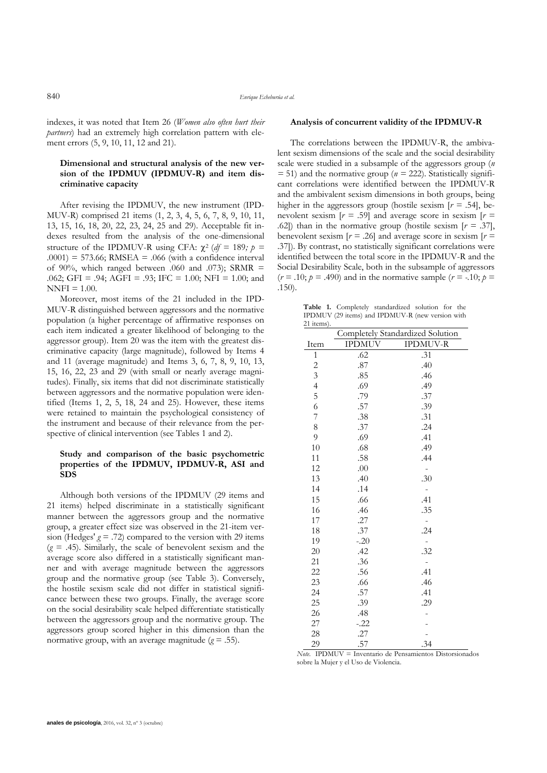indexes, it was noted that Item 26 (*Women also often hurt their partners*) had an extremely high correlation pattern with element errors (5, 9, 10, 11, 12 and 21).

### **Dimensional and structural analysis of the new version of the IPDMUV (IPDMUV-R) and item discriminative capacity**

After revising the IPDMUV, the new instrument (IPD-MUV-R) comprised 21 items (1, 2, 3, 4, 5, 6, 7, 8, 9, 10, 11, 13, 15, 16, 18, 20, 22, 23, 24, 25 and 29). Acceptable fit indexes resulted from the analysis of the one-dimensional structure of the IPDMUV-R using CFA:  $\chi^2$  (*df* = 189*; p* =  $.0001$ ) = 573.66; RMSEA = .066 (with a confidence interval of 90%, which ranged between .060 and .073); SRMR  $=$ .062; GFI = .94; AGFI = .93; IFC = 1.00; NFI = 1.00; and  $NNFI = 1.00.$ 

Moreover, most items of the 21 included in the IPD-MUV-R distinguished between aggressors and the normative population (a higher percentage of affirmative responses on each item indicated a greater likelihood of belonging to the aggressor group). Item 20 was the item with the greatest discriminative capacity (large magnitude), followed by Items 4 and 11 (average magnitude) and Items 3, 6, 7, 8, 9, 10, 13, 15, 16, 22, 23 and 29 (with small or nearly average magnitudes). Finally, six items that did not discriminate statistically between aggressors and the normative population were identified (Items 1, 2, 5, 18, 24 and 25). However, these items were retained to maintain the psychological consistency of the instrument and because of their relevance from the perspective of clinical intervention (see Tables 1 and 2).

#### **Study and comparison of the basic psychometric properties of the IPDMUV, IPDMUV-R, ASI and SDS**

Although both versions of the IPDMUV (29 items and 21 items) helped discriminate in a statistically significant manner between the aggressors group and the normative group, a greater effect size was observed in the 21-item version (Hedges'  $g = .72$ ) compared to the version with 29 items  $(g = .45)$ . Similarly, the scale of benevolent sexism and the average score also differed in a statistically significant manner and with average magnitude between the aggressors group and the normative group (see Table 3). Conversely, the hostile sexism scale did not differ in statistical significance between these two groups. Finally, the average score on the social desirability scale helped differentiate statistically between the aggressors group and the normative group. The aggressors group scored higher in this dimension than the normative group, with an average magnitude  $(g = .55)$ .

#### **Analysis of concurrent validity of the IPDMUV-R**

The correlations between the IPDMUV-R, the ambivalent sexism dimensions of the scale and the social desirability scale were studied in a subsample of the aggressors group (*n*   $= 51$ ) and the normative group ( $n = 222$ ). Statistically significant correlations were identified between the IPDMUV-R and the ambivalent sexism dimensions in both groups, being higher in the aggressors group (hostile sexism [*r =* .54], benevolent sexism  $[r = .59]$  and average score in sexism  $[r = 10]$ *.*62]) than in the normative group (hostile sexism [*r =* .37], benevolent sexism  $[r = .26]$  and average score in sexism  $[r = .26]$ .37]). By contrast, no statistically significant correlations were identified between the total score in the IPDMUV-R and the Social Desirability Scale, both in the subsample of aggressors  $(r = .10; p = .490)$  and in the normative sample  $(r = .10; p = .10)$ .150).

**Table 1.** Completely standardized solution for the IPDMUV (29 items) and IPDMUV-R (new version with 21 items).

|                          | Completely Standardized Solution |                 |  |  |  |  |  |
|--------------------------|----------------------------------|-----------------|--|--|--|--|--|
| Item                     | <b>IPDMUV</b>                    | <b>IPDMUV-R</b> |  |  |  |  |  |
| $\mathbf{1}$             | .62                              | .31             |  |  |  |  |  |
| $\frac{2}{3}$            | .87                              | .40             |  |  |  |  |  |
|                          | .85                              | .46             |  |  |  |  |  |
| $\overline{\mathcal{L}}$ | .69                              | .49             |  |  |  |  |  |
| 5                        | .79                              | .37             |  |  |  |  |  |
| 6                        | .57                              | .39             |  |  |  |  |  |
| $\overline{7}$           | .38                              | .31             |  |  |  |  |  |
| 8                        | .37                              | .24             |  |  |  |  |  |
| 9                        | .69                              | .41             |  |  |  |  |  |
| 10                       | .68                              | .49             |  |  |  |  |  |
| 11                       | .58                              | .44             |  |  |  |  |  |
| 12                       | .00                              |                 |  |  |  |  |  |
| 13                       | .40                              | .30             |  |  |  |  |  |
| 14                       | .14                              |                 |  |  |  |  |  |
| 15                       | .66                              | .41             |  |  |  |  |  |
| 16                       | .46                              | .35             |  |  |  |  |  |
| 17                       | .27                              |                 |  |  |  |  |  |
| 18                       | .37                              | .24             |  |  |  |  |  |
| 19                       | $-.20$                           |                 |  |  |  |  |  |
| 20                       | .42                              | .32             |  |  |  |  |  |
| 21                       | .36                              |                 |  |  |  |  |  |
| 22                       | .56                              | .41             |  |  |  |  |  |
| 23                       | .66                              | .46             |  |  |  |  |  |
| 24                       | .57                              | .41             |  |  |  |  |  |
| 25                       | .39                              | .29             |  |  |  |  |  |
| 26                       | .48                              |                 |  |  |  |  |  |
| 27                       | $-.22$                           |                 |  |  |  |  |  |
| 28                       | .27                              |                 |  |  |  |  |  |
| 29                       | .57                              | .34             |  |  |  |  |  |

*Note.* IPDMUV = Inventario de Pensamientos Distorsionados sobre la Mujer y el Uso de Violencia.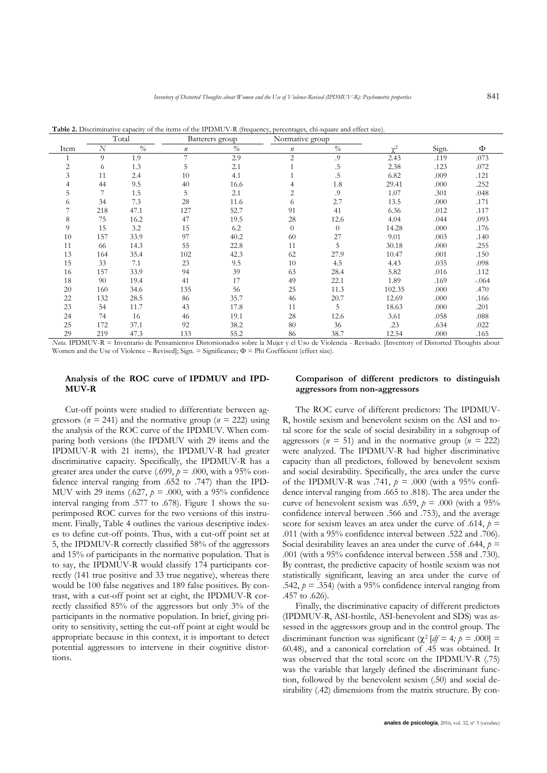**Table 2.** Discriminative capacity of the items of the IPDMUV-R (frequency, percentages, chi-square and effect size).

|                |     | Total         |         | Batterers group | Normative group |               |            |       |          |
|----------------|-----|---------------|---------|-----------------|-----------------|---------------|------------|-------|----------|
| Item           | N   | $\frac{0}{0}$ | $\it n$ | $\%$            | $\it n$         | $\frac{o}{o}$ | $\gamma^2$ | Sign. | Φ        |
|                | 9   | 1.9           | 7       | 2.9             | $\overline{2}$  | .9            | 2.43       | .119  | .073     |
| $\overline{2}$ | 6   | 1.3           | 5       | 2.1             |                 | .5            | 2.38       | .123  | .072     |
| 3              | 11  | 2.4           | 10      | 4.1             |                 | .5            | 6.82       | .009  | .121     |
| 4              | 44  | 9.5           | 40      | 16.6            | 4               | 1.8           | 29.41      | .000  | .252     |
| 5              | 7   | 1.5           | 5       | 2.1             | 2               | .9            | 1.07       | .301  | .048     |
| 6              | 34  | 7.3           | 28      | 11.6            | 6               | 2.7           | 13.5       | .000  | .171     |
|                | 218 | 47.1          | 127     | 52.7            | 91              | 41            | 6.36       | .012  | .117     |
| 8              | 75  | 16.2          | 47      | 19.5            | 28              | 12.6          | 4.04       | .044  | .093     |
| 9              | 15  | 3.2           | 15      | 6.2             | $\overline{0}$  | $\Omega$      | 14.28      | .000  | .176     |
| 10             | 157 | 33.9          | 97      | 40.2            | 60              | 27            | 9.01       | .003  | .140     |
| 11             | 66  | 14.3          | 55      | 22.8            | 11              | 5             | 30.18      | .000  | .255     |
| 13             | 164 | 35.4          | 102     | 42.3            | 62              | 27.9          | 10.47      | .001  | .150     |
| 15             | 33  | 7.1           | 23      | 9.5             | 10              | 4.5           | 4.43       | .035  | .098     |
| 16             | 157 | 33.9          | 94      | 39              | 63              | 28.4          | 5.82       | .016  | .112     |
| 18             | 90  | 19.4          | 41      | 17              | 49              | 22.1          | 1.89       | .169  | $-0.064$ |
| 20             | 160 | 34.6          | 135     | 56              | 25              | 11.3          | 102.35     | .000  | .470     |
| 22             | 132 | 28.5          | 86      | 35.7            | 46              | 20.7          | 12.69      | .000  | .166     |
| 23             | 54  | 11.7          | 43      | 17.8            | 11              | 5             | 18.63      | .000  | .201     |
| 24             | 74  | 16            | 46      | 19.1            | 28              | 12.6          | 3.61       | .058  | .088     |
| 25             | 172 | 37.1          | 92      | 38.2            | 80              | 36            | .23        | .634  | .022     |
| 29             | 219 | 47.3          | 133     | 55.2            | 86              | 38.7          | 12.54      | .000  | .165     |

*Nota*. IPDMUV-R = Inventario de Pensamientos Distorsionados sobre la Mujer y el Uso de Violencia - Revisado. [Inventory of Distorted Thoughts about Women and the Use of Violence – Revised]; Sign. = Significance; Φ = Phi Coefficient (effect size).

#### **Analysis of the ROC curve of IPDMUV and IPD-MUV-R**

Cut-off points were studied to differentiate between aggressors ( $n = 241$ ) and the normative group ( $n = 222$ ) using the analysis of the ROC curve of the IPDMUV. When comparing both versions (the IPDMUV with 29 items and the IPDMUV-R with 21 items), the IPDMUV-R had greater discriminative capacity. Specifically, the IPDMUV-R has a greater area under the curve (.699,  $p = .000$ , with a 95% confidence interval ranging from .652 to .747) than the IPD-MUV with 29 items (.627, *p* = .000, with a 95% confidence interval ranging from .577 to .678). Figure 1 shows the superimposed ROC curves for the two versions of this instrument. Finally, Table 4 outlines the various descriptive indexes to define cut-off points. Thus, with a cut-off point set at 5, the IPDMUV-R correctly classified 58% of the aggressors and 15% of participants in the normative population. That is to say, the IPDMUV-R would classify 174 participants correctly (141 true positive and 33 true negative), whereas there would be 100 false negatives and 189 false positives. By contrast, with a cut-off point set at eight, the IPDMUV-R correctly classified 85% of the aggressors but only 3% of the participants in the normative population. In brief, giving priority to sensitivity, setting the cut-off point at eight would be appropriate because in this context, it is important to detect potential aggressors to intervene in their cognitive distortions.

#### **Comparison of different predictors to distinguish aggressors from non-aggressors**

The ROC curve of different predictors: The IPDMUV-R, hostile sexism and benevolent sexism on the ASI and total score for the scale of social desirability in a subgroup of aggressors ( $n = 51$ ) and in the normative group ( $n = 222$ ) were analyzed. The IPDMUV-R had higher discriminative capacity than all predictors, followed by benevolent sexism and social desirability. Specifically, the area under the curve of the IPDMUV-R was .741,  $p = .000$  (with a 95% confidence interval ranging from .665 to .818). The area under the curve of benevolent sexism was .659,  $p = .000$  (with a 95%) confidence interval between .566 and .753), and the average score for sexism leaves an area under the curve of .614,  $p =$ .011 (with a 95% confidence interval between .522 and .706). Social desirability leaves an area under the curve of .644,  $p =$ .001 (with a 95% confidence interval between .558 and .730). By contrast, the predictive capacity of hostile sexism was not statistically significant, leaving an area under the curve of .542,  $p = .354$ ) (with a 95% confidence interval ranging from .457 to .626).

Finally, the discriminative capacity of different predictors (IPDMUV-R, ASI-hostile, ASI-benevolent and SDS) was assessed in the aggressors group and in the control group. The discriminant function was significant ( $\chi^2$  [df = 4*; p* = .000] = 60.48), and a canonical correlation of .45 was obtained. It was observed that the total score on the IPDMUV-R (.75) was the variable that largely defined the discriminant function, followed by the benevolent sexism (.50) and social desirability (.42) dimensions from the matrix structure. By con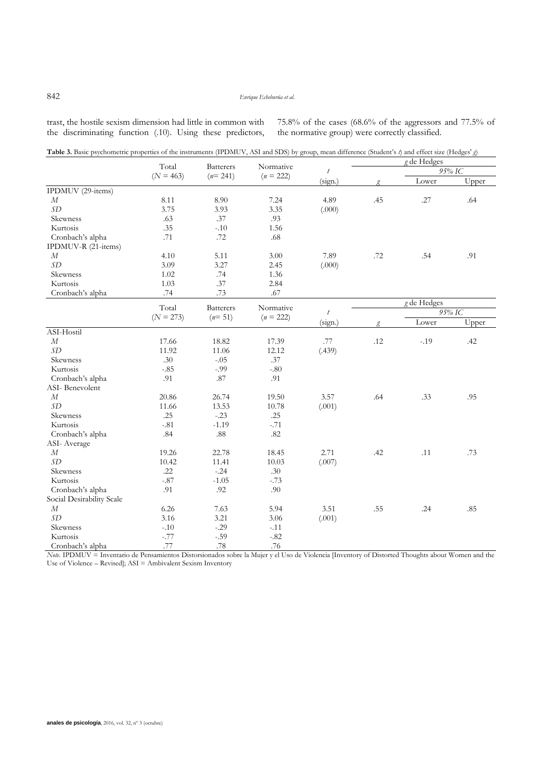trast, the hostile sexism dimension had little in common with the discriminating function (.10). Using these predictors,

11.66

Skewness .25 -.23 .25<br>Kurtosis -81 -1.19 -.71

Cronbach's alpha  $.84$  .88  $.82$ 

19.26 10.42

Skewness .22 -.24 .30<br>Kurtosis -87 -1.05 -73 Kurtosis -.87 -1.05 -.73<br>Cronbach's alpha - .91 - .92 - .90

> 6.26 3.16

Skewness -.10 -.29 -.11<br>
Kurtosis -.77 -.59 -.82 Kurtosis -.77 -.59 -.82<br>Cronbach's alpha -.77 -.78 -.78 -.76

Kurtosis -.81 -1.19

 $13.53$ <br>-.23

22.78  $11.41$ <br>-.24

7.63  $3.21$ <br> $-.29$  75.8% of the cases (68.6% of the aggressors and 77.5% of the normative group) were correctly classified.

|                     |                                                      | <b>Batterers</b> |                          |           |             | $g$ de Hedges |       |
|---------------------|------------------------------------------------------|------------------|--------------------------|-----------|-------------|---------------|-------|
|                     | Total<br>$(N = 463)$                                 |                  | Normative                | $\bar{t}$ |             | 95% IC        |       |
|                     |                                                      | $(n=241)$        | $(n = 222)$              | (sign.)   |             | Lower         | Upper |
| IPDMUV (29-items)   |                                                      |                  |                          |           |             |               |       |
| $\boldsymbol{M}$    | 8.11                                                 | 8.90             | 7.24                     | 4.89      | .45         | .27           | .64   |
| SD                  | 3.75                                                 | 3.93             | 3.35                     | (.000)    |             |               |       |
| Skewness            | .63                                                  | .37              | .93                      |           |             |               |       |
| Kurtosis            | .35                                                  | $-.10$           | 1.56                     |           |             |               |       |
| Cronbach's alpha    | .71                                                  | .72              | .68                      |           |             |               |       |
| IPDMUV-R (21-items) |                                                      |                  |                          |           |             |               |       |
| $\boldsymbol{M}$    | 4.10                                                 | 5.11             | 3.00                     | 7.89      | .72         | .54           | .91   |
| SD                  | 3.09                                                 | 3.27             | 2.45                     | (.000)    |             |               |       |
| Skewness            | 1.02                                                 | .74              | 1.36                     |           |             |               |       |
| Kurtosis            | 1.03                                                 | .37              | 2.84                     |           |             |               |       |
| Cronbach's alpha    | .74                                                  | .73              | .67                      |           |             |               |       |
|                     |                                                      |                  |                          |           | g de Hedges |               |       |
|                     | Total<br><b>Batterers</b><br>$(N = 273)$<br>$(n=51)$ |                  | Normative<br>$(n = 222)$ | $\bar{t}$ | 95% IC      |               |       |
|                     |                                                      |                  |                          | (sign.)   | g           | Lower         | Upper |
| ASI-Hostil          |                                                      |                  |                          |           |             |               |       |
| $\boldsymbol{M}$    | 17.66                                                | 18.82            | 17.39                    | .77       | .12         | $-.19$        | .42   |
| SD                  | 11.92                                                | 11.06            | 12.12                    | (.439)    |             |               |       |
| Skewness            | .30                                                  | $-.05$           | .37                      |           |             |               |       |
| Kurtosis            | $-.85$                                               | $-.99$           | $-0.80$                  |           |             |               |       |
| Cronbach's alpha    | .91                                                  | .87              | .91                      |           |             |               |       |
| ASI-Benevolent      |                                                      |                  |                          |           |             |               |       |
| M                   | 20.86                                                | 26.74            | 19.50                    | 3.57      | .64         | .33           | .95   |

 $10.78$ <br>.25

18.45 10.03<br>.30

5.94 3.06 (.001)

2.71 (.007)

3.51 (.001) .42 .11 .73

.55 .24 .85

*Note.* IPDMUV = Inventario de Pensamientos Distorsionados sobre la Mujer y el Uso de Violencia [Inventory of Distorted Thoughts about Women and the Use of Violence – Revised]; ASI = Ambivalent Sexism Inventory

 *SD*

 *M SD*

ASI- Average  *M SD*

Cronbach's alpha Social Desirability Scale

Cronbach's alpha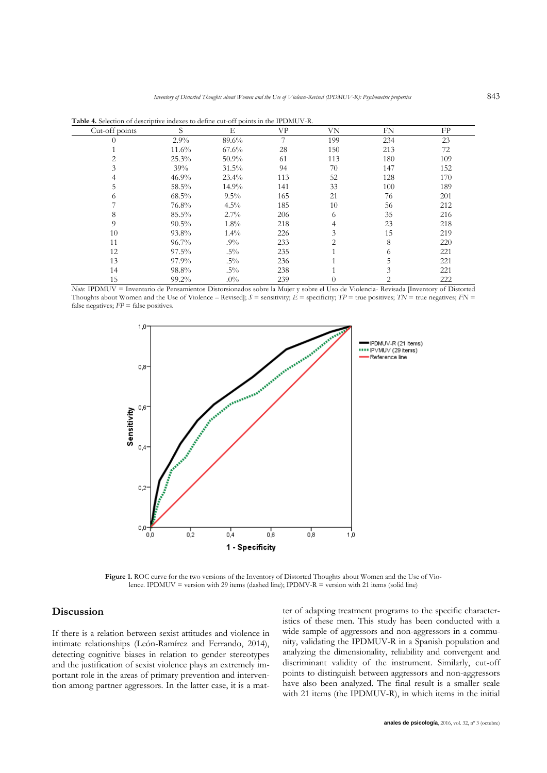| Cut-off points | S        | Е        | VP  | VN  | FN  | FP  |
|----------------|----------|----------|-----|-----|-----|-----|
|                | 2.9%     | 89.6%    | 7   | 199 | 234 | 23  |
|                | $11.6\%$ | $67.6\%$ | 28  | 150 | 213 | 72  |
|                | 25.3%    | $50.9\%$ | 61  | 113 | 180 | 109 |
|                | 39%      | $31.5\%$ | 94  | 70  | 147 | 152 |
|                | $46.9\%$ | $23.4\%$ | 113 | 52  | 128 | 170 |
| ל.             | 58.5%    | $14.9\%$ | 141 | 33  | 100 | 189 |
| 6              | $68.5\%$ | $9.5\%$  | 165 | 21  | 76  | 201 |
|                | 76.8%    | $4.5\%$  | 185 | 10  | 56  | 212 |
| 8              | $85.5\%$ | $2.7\%$  | 206 | 6   | 35  | 216 |
| 9              | $90.5\%$ | $1.8\%$  | 218 | 4   | 23  | 218 |
| 10             | 93.8%    | $1.4\%$  | 226 | 3   | 15  | 219 |
| 11             | $96.7\%$ | $.9\%$   | 233 | 2   | 8   | 220 |
| 12             | $97.5\%$ | $.5\%$   | 235 |     | 6   | 221 |
| 13             | 97.9%    | $.5\%$   | 236 |     | 5   | 221 |
| 14             | 98.8%    | $.5\%$   | 238 |     |     | 221 |
| 15             | $99.2\%$ | $.0\%$   | 239 | 0   | 2   | 222 |

**Table 4.** Selection of descriptive indexes to define cut-off points in the IPDMUV-R.

*Note*: IPDMUV = Inventario de Pensamientos Distorsionados sobre la Mujer y sobre el Uso de Violencia- Revisada [Inventory of Distorted Thoughts about Women and the Use of Violence – Revised];  $S =$  sensitivity;  $\vec{E} =$  specificity;  $TP =$  true positives;  $TN =$  true negatives;  $FN =$ false negatives;  $FP =$  false positives.



**Figure 1.** ROC curve for the two versions of the Inventory of Distorted Thoughts about Women and the Use of Violence. IPDMUV = version with 29 items (dashed line); IPDMV-R = version with 21 items (solid line)

# **Discussion**

If there is a relation between sexist attitudes and violence in intimate relationships (León-Ramírez and Ferrando, 2014), detecting cognitive biases in relation to gender stereotypes and the justification of sexist violence plays an extremely important role in the areas of primary prevention and intervention among partner aggressors. In the latter case, it is a mat-

ter of adapting treatment programs to the specific characteristics of these men. This study has been conducted with a wide sample of aggressors and non-aggressors in a community, validating the IPDMUV-R in a Spanish population and analyzing the dimensionality, reliability and convergent and discriminant validity of the instrument. Similarly, cut-off points to distinguish between aggressors and non-aggressors have also been analyzed. The final result is a smaller scale with 21 items (the IPDMUV-R), in which items in the initial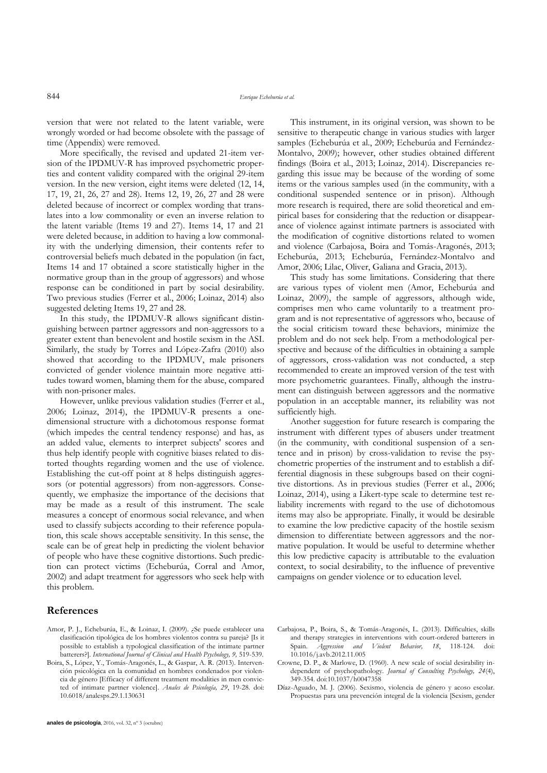version that were not related to the latent variable, were wrongly worded or had become obsolete with the passage of time (Appendix) were removed.

More specifically, the revised and updated 21-item version of the IPDMUV-R has improved psychometric properties and content validity compared with the original 29-item version. In the new version, eight items were deleted (12, 14, 17, 19, 21, 26, 27 and 28). Items 12, 19, 26, 27 and 28 were deleted because of incorrect or complex wording that translates into a low commonality or even an inverse relation to the latent variable (Items 19 and 27). Items 14, 17 and 21 were deleted because, in addition to having a low commonality with the underlying dimension, their contents refer to controversial beliefs much debated in the population (in fact, Items 14 and 17 obtained a score statistically higher in the normative group than in the group of aggressors) and whose response can be conditioned in part by social desirability. Two previous studies (Ferrer et al., 2006; Loinaz, 2014) also suggested deleting Items 19, 27 and 28.

In this study, the IPDMUV-R allows significant distinguishing between partner aggressors and non-aggressors to a greater extent than benevolent and hostile sexism in the ASI. Similarly, the study by Torres and López-Zafra (2010) also showed that according to the IPDMUV, male prisoners convicted of gender violence maintain more negative attitudes toward women, blaming them for the abuse, compared with non-prisoner males.

However, unlike previous validation studies (Ferrer et al., 2006; Loinaz, 2014), the IPDMUV-R presents a onedimensional structure with a dichotomous response format (which impedes the central tendency response) and has, as an added value, elements to interpret subjects' scores and thus help identify people with cognitive biases related to distorted thoughts regarding women and the use of violence. Establishing the cut-off point at 8 helps distinguish aggressors (or potential aggressors) from non-aggressors. Consequently, we emphasize the importance of the decisions that may be made as a result of this instrument. The scale measures a concept of enormous social relevance, and when used to classify subjects according to their reference population, this scale shows acceptable sensitivity. In this sense, the scale can be of great help in predicting the violent behavior of people who have these cognitive distortions. Such prediction can protect victims (Echeburúa, Corral and Amor, 2002) and adapt treatment for aggressors who seek help with this problem.

# **References**

- Amor, P. J., Echeburúa, E., & Loinaz, I. (2009). ¿Se puede establecer una clasificación tipológica de los hombres violentos contra su pareja? [Is it possible to establish a typological classification of the intimate partner batterers?]. *International Journal of Clinical and Health Psychology, 9,* 519-539.
- Boira, S., López, Y., Tomás-Aragonés, L., & Gaspar, A. R. (2013). Intervención psicológica en la comunidad en hombres condenados por violencia de género [Efficacy of different treatment modalities in men convicted of intimate partner violence]. *Anales de Psicología, 29*, 19-28. doi: 10.6018/analesps.29.1.130631

This instrument, in its original version, was shown to be sensitive to therapeutic change in various studies with larger samples (Echeburúa et al., 2009; Echeburúa and Fernández-Montalvo, 2009); however, other studies obtained different findings (Boira et al., 2013; Loinaz, 2014). Discrepancies regarding this issue may be because of the wording of some items or the various samples used (in the community, with a conditional suspended sentence or in prison). Although more research is required, there are solid theoretical and empirical bases for considering that the reduction or disappearance of violence against intimate partners is associated with the modification of cognitive distortions related to women and violence (Carbajosa, Boira and Tomás-Aragonés, 2013; Echeburúa, 2013; Echeburúa, Fernández-Montalvo and Amor, 2006; Lilac, Oliver, Galiana and Gracia, 2013).

This study has some limitations. Considering that there are various types of violent men (Amor, Echeburúa and Loinaz, 2009), the sample of aggressors, although wide, comprises men who came voluntarily to a treatment program and is not representative of aggressors who, because of the social criticism toward these behaviors, minimize the problem and do not seek help. From a methodological perspective and because of the difficulties in obtaining a sample of aggressors, cross-validation was not conducted, a step recommended to create an improved version of the test with more psychometric guarantees. Finally, although the instrument can distinguish between aggressors and the normative population in an acceptable manner, its reliability was not sufficiently high.

Another suggestion for future research is comparing the instrument with different types of abusers under treatment (in the community, with conditional suspension of a sentence and in prison) by cross-validation to revise the psychometric properties of the instrument and to establish a differential diagnosis in these subgroups based on their cognitive distortions. As in previous studies (Ferrer et al., 2006; Loinaz, 2014), using a Likert-type scale to determine test reliability increments with regard to the use of dichotomous items may also be appropriate. Finally, it would be desirable to examine the low predictive capacity of the hostile sexism dimension to differentiate between aggressors and the normative population. It would be useful to determine whether this low predictive capacity is attributable to the evaluation context, to social desirability, to the influence of preventive campaigns on gender violence or to education level.

- Carbajosa, P., Boira, S., & Tomás-Aragonés, L. (2013). Difficulties, skills and therapy strategies in interventions with court-ordered batterers in Spain. *Aggression and Violent Behavior, 18*, 118-124. doi: 10.1016/j.avb.2012.11.005
- Crowne, D. P., & Marlowe, D. (1960). A new scale of social desirability independent of psychopathology. *Journal of Consulting Psychology, 24*(4), 349-354. doi:10.1037/h0047358
- Díaz-Aguado, M. J. (2006). Sexismo, violencia de género y acoso escolar. Propuestas para una prevención integral de la violencia [Sexism, gender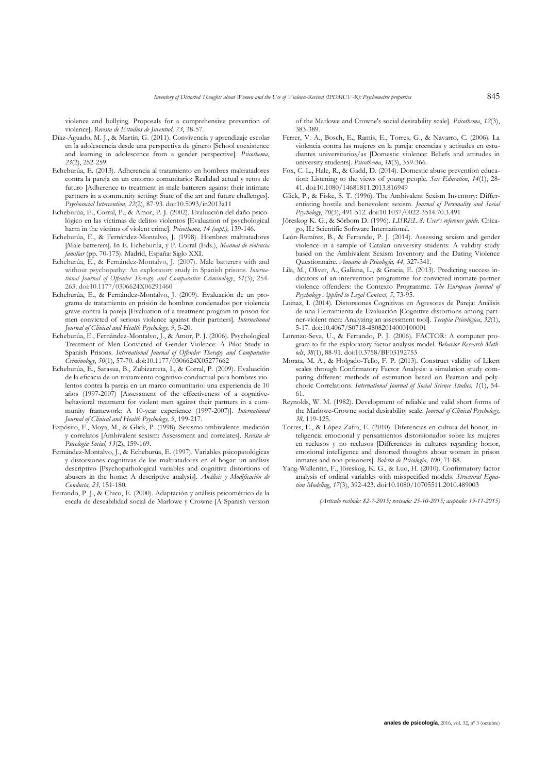violence and bullying. Proposals for a comprehensive prevention of violence]. *Revista de Estudios de Juventud, 73*, 38-57.

- Díaz-Aguado, M. J., & Martín, G. (2011). Convivencia y aprendizaje escolar en la adolescencia desde una perspectiva de género [School coexistence and learning in adolescence from a gender perspective]. *Psicothema*, *23*(2), 252-259.
- Echeburúa, E. (2013). Adherencia al tratamiento en hombres maltratadores contra la pareja en un entorno comunitario: Realidad actual y retos de futuro [Adherence to treatment in male batterers against their intimate partners in a community setting: State of the art and future challenges]. *Psychosocial Intervention*, *22*(2), 87-93. doi:10.5093/in2013a11
- Echeburúa, E., Corral, P., & Amor, P. J. (2002). Evaluación del daño psicológico en las víctimas de delitos violentos [Evaluation of psychological harm in the victims of violent crime]. *Psicothema, 14 (supl.),* 139-146.
- Echeburúa, E., & Fernández-Montalvo, J. (1998). Hombres maltratadores [Male batterers]. In E. Echeburúa, y P. Corral (Eds.), *Manual de violencia familiar* (pp. 70-175). Madrid, España: Siglo XXI.
- Echeburúa, E., & Fernández-Montalvo, J. (2007). Male batterers with and without psychopathy: An exploratory study in Spanish prisons. *International Journal of Offender Therapy and Comparative Criminology*, *51*(3), 254- 263. doi:10.1177/0306624X06291460
- Echeburúa, E., & Fernández-Montalvo, J. (2009). Evaluación de un programa de tratamiento en prisión de hombres condenados por violencia grave contra la pareja [Evaluation of a treatment program in prison for men convicted of serious violence against their partners]. *International Journal of Clinical and Health Psychology, 9*, 5-20.
- Echeburúa, E., Fernández-Montalvo, J., & Amor, P. J. (2006). Psychological Treatment of Men Convicted of Gender Violence: A Pilot Study in Spanish Prisons. *International Journal of Offender Therapy and Comparative Criminology*, *50*(1), 57-70. doi:10.1177/0306624X05277662
- Echeburúa, E., Sarasua, B., Zubizarreta, I., & Corral, P. (2009). Evaluación de la eficacia de un tratamiento cognitivo-conductual para hombres violentos contra la pareja en un marco comunitario: una experiencia de 10 años (1997-2007) [Assessment of the effectiveness of a cognitivebehavioral treatment for violent men against their partners in a community framework: A 10-year experience (1997-2007)]. *International Journal of Clinical and Health Psychology, 9*, 199-217.
- Expósito, F., Moya, M., & Glick, P. (1998). Sexismo ambivalente: medición y correlatos [Ambivalent sexism: Assessment and correlates]. *Revista de Psicología Social, 13*(2), 159-169.
- Fernández-Montalvo, J., & Echeburúa, E. (1997). Variables psicopatológicas y distorsiones cognitivas de los maltratadores en el hogar: un análisis descriptivo [Psychopathological variables and cognitive distortions of abusers in the home: A descriptive analysis]. *Análisis y Modificación de Conducta, 23,* 151-180.
- Ferrando, P. J., & Chico, E. (2000). Adaptación y análisis psicométrico de la escala de deseabilidad social de Marlowe y Crowne [A Spanish version

of the Marlowe and Crowne's social desirability scale]. *Psicothema*, *12*(3), 383-389.

- Ferrer, V. A., Bosch, E., Ramis, E., Torres, G., & Navarro, C. (2006). La violencia contra las mujeres en la pareja: creencias y actitudes en estudiantes universitarios/as [Domestic violence: Beliefs and attitudes in university students]. *Psicothema*, *18*(3), 359-366.
- Fox, C. L., Hale, R., & Gadd, D. (2014). Domestic abuse prevention education: Listening to the views of young people. *Sex Education*, *14*(1), 28- 41. doi:10.1080/14681811.2013.816949
- Glick, P., & Fiske, S. T. (1996). The Ambivalent Sexism Inventory: Differentiating hostile and benevolent sexism. *Journal of Personality and Social Psychology*, *70*(3), 491-512. doi:10.1037/0022-3514.70.3.491
- Jöreskog K. G., & Sörbom D. (1996). *LISREL 8: User's reference guide*. Chicago, IL: Scientific Software International.
- León-Ramírez, B., & Ferrando, P. J. (2014). Assessing sexism and gender violence in a sample of Catalan university students: A validity study based on the Ambivalent Sexism Inventory and the Dating Violence Questionnaire. *Anuario de Psicología, 44,* 327-341.
- Lila, M., Oliver, A., Galiana, L., & Gracia, E. (2013). Predicting success indicators of an intervention programme for convicted intimate-partner violence offenders: the Contexto Programme. *The European Journal of Psychology Applied to Legal Context, 5*, 73-95.
- Loinaz, I. (2014). Distorsiones Cognitivas en Agresores de Pareja: Análisis de una Herramienta de Evaluación [Cognitive distortions among partner-violent men: Analyzing an assessment tool]. *Terapia Psicológica*, *32*(1), 5-17. doi:10.4067/S0718-48082014000100001
- Lorenzo-Seva, U., & Ferrando, P. J. (2006). FACTOR: A computer program to fit the exploratory factor analysis model. *Behavior Research Methods*, *38*(1), 88-91. doi:10.3758/BF03192753
- Morata, M. A., & Holgado-Tello, F. P. (2013). Construct validity of Likert scales through Confirmatory Factor Analysis: a simulation study comparing different methods of estimation based on Pearson and polychoric Correlations. *International Journal of Social Science Studies, 1*(1), 54- 61.
- Reynolds, W. M. (1982). Development of reliable and valid short forms of the Marlowe-Crowne social desirability scale. *Journal of Clinical Psychology, 38,* 119-125.
- Torres, E., & López-Zafra, E. (2010). Diferencias en cultura del honor, inteligencia emocional y pensamientos distorsionados sobre las mujeres en reclusos y no reclusos [Differences in cultures regarding honor, emotional intelligence and distorted thoughts about women in prison inmates and non-prisoners]. *Boletín de Psicología, 100*, 71-88.
- Yang-Wallentin, F., Jöreskog, K. G., & Luo, H. (2010). Confirmatory factor analysis of ordinal variables with misspecified models. *Structural Equation Modeling*, *17*(3), 392-423. doi:10.1080/10705511.2010.489003

*(Artículo recibido: 82-7-2015; revisado: 25-10-2015; aceptado: 19-11-2015)*